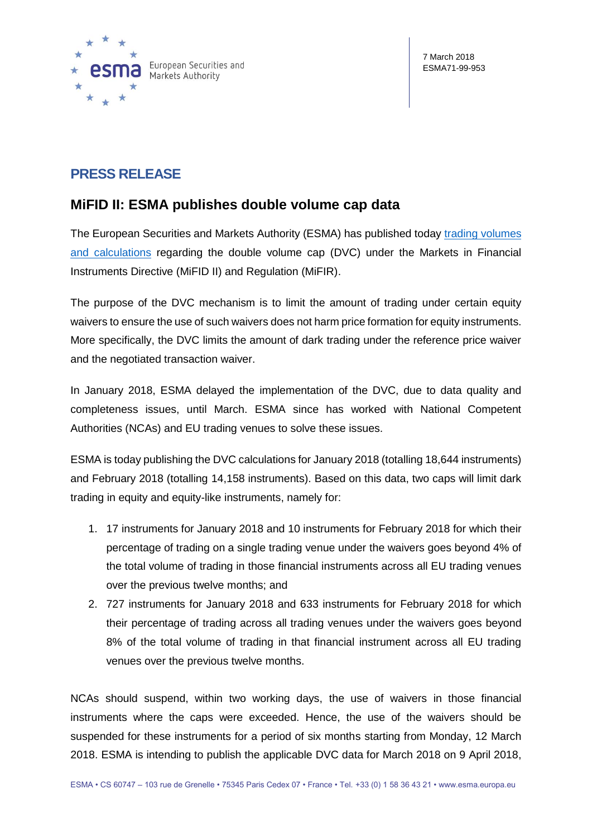

# **PRESS RELEASE**

## **MiFID II: ESMA publishes double volume cap data**

The European Securities and Markets Authority (ESMA) has published today [trading volumes](https://www.esma.europa.eu/double-volume-cap-mechanism)  [and calculations](https://www.esma.europa.eu/double-volume-cap-mechanism) regarding the double volume cap (DVC) under the Markets in Financial Instruments Directive (MiFID II) and Regulation (MiFIR).

The purpose of the DVC mechanism is to limit the amount of trading under certain equity waivers to ensure the use of such waivers does not harm price formation for equity instruments. More specifically, the DVC limits the amount of dark trading under the reference price waiver and the negotiated transaction waiver.

In January 2018, ESMA delayed the implementation of the DVC, due to data quality and completeness issues, until March. ESMA since has worked with National Competent Authorities (NCAs) and EU trading venues to solve these issues.

ESMA is today publishing the DVC calculations for January 2018 (totalling 18,644 instruments) and February 2018 (totalling 14,158 instruments). Based on this data, two caps will limit dark trading in equity and equity-like instruments, namely for:

- 1. 17 instruments for January 2018 and 10 instruments for February 2018 for which their percentage of trading on a single trading venue under the waivers goes beyond 4% of the total volume of trading in those financial instruments across all EU trading venues over the previous twelve months; and
- 2. 727 instruments for January 2018 and 633 instruments for February 2018 for which their percentage of trading across all trading venues under the waivers goes beyond 8% of the total volume of trading in that financial instrument across all EU trading venues over the previous twelve months.

NCAs should suspend, within two working days, the use of waivers in those financial instruments where the caps were exceeded. Hence, the use of the waivers should be suspended for these instruments for a period of six months starting from Monday, 12 March 2018. ESMA is intending to publish the applicable DVC data for March 2018 on 9 April 2018,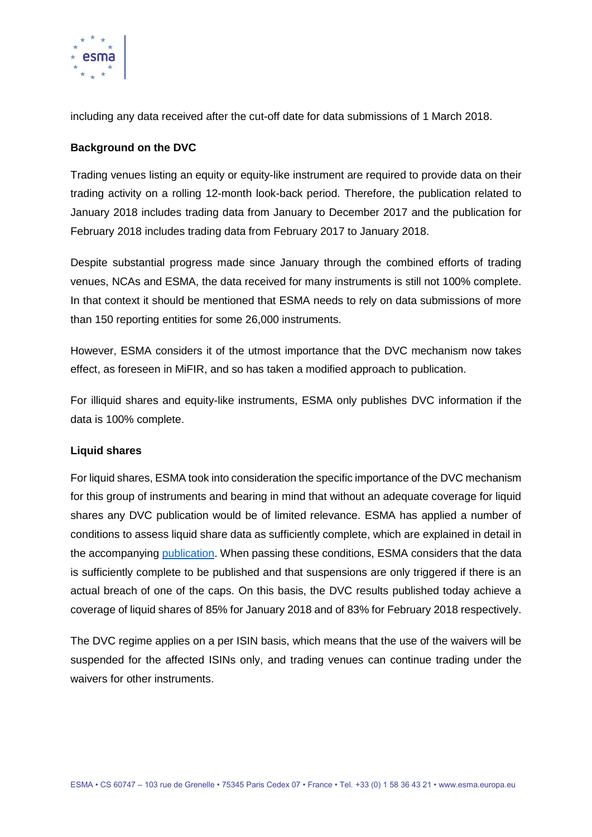

including any data received after the cut-off date for data submissions of 1 March 2018.

## **Background on the DVC**

Trading venues listing an equity or equity-like instrument are required to provide data on their trading activity on a rolling 12-month look-back period. Therefore, the publication related to January 2018 includes trading data from January to December 2017 and the publication for February 2018 includes trading data from February 2017 to January 2018.

Despite substantial progress made since January through the combined efforts of trading venues, NCAs and ESMA, the data received for many instruments is still not 100% complete. In that context it should be mentioned that ESMA needs to rely on data submissions of more than 150 reporting entities for some 26,000 instruments.

However, ESMA considers it of the utmost importance that the DVC mechanism now takes effect, as foreseen in MiFIR, and so has taken a modified approach to publication.

For illiquid shares and equity-like instruments, ESMA only publishes DVC information if the data is 100% complete.

### **Liquid shares**

For liquid shares, ESMA took into consideration the specific importance of the DVC mechanism for this group of instruments and bearing in mind that without an adequate coverage for liquid shares any DVC publication would be of limited relevance. ESMA has applied a number of conditions to assess liquid share data as sufficiently complete, which are explained in detail in the accompanying [publication.](https://www.esma.europa.eu/double-volume-cap-mechanism) When passing these conditions, ESMA considers that the data is sufficiently complete to be published and that suspensions are only triggered if there is an actual breach of one of the caps. On this basis, the DVC results published today achieve a coverage of liquid shares of 85% for January 2018 and of 83% for February 2018 respectively.

The DVC regime applies on a per ISIN basis, which means that the use of the waivers will be suspended for the affected ISINs only, and trading venues can continue trading under the waivers for other instruments.